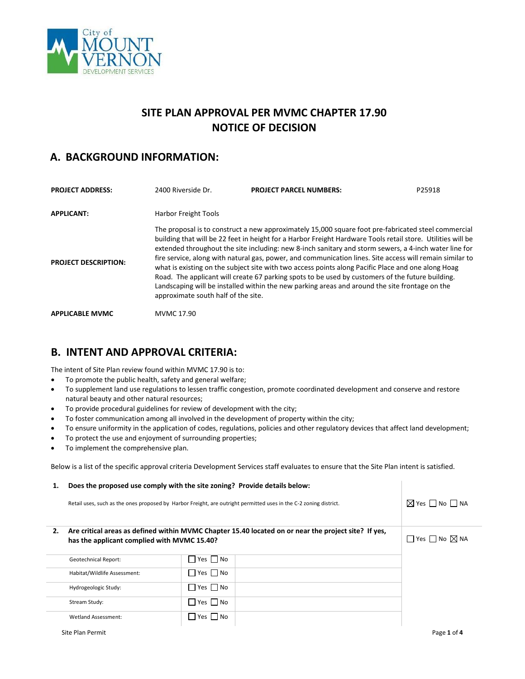

# **SITE PLAN APPROVAL PER MVMC CHAPTER 17.90 NOTICE OF DECISION**

# **A. BACKGROUND INFORMATION:**

| <b>PROJECT ADDRESS:</b>     | 2400 Riverside Dr.                  | <b>PROJECT PARCEL NUMBERS:</b>                                                                                                                                                                                                                                                                                                                                                                                                                                                                                                                                                                                                                                                                                                                      | P25918 |
|-----------------------------|-------------------------------------|-----------------------------------------------------------------------------------------------------------------------------------------------------------------------------------------------------------------------------------------------------------------------------------------------------------------------------------------------------------------------------------------------------------------------------------------------------------------------------------------------------------------------------------------------------------------------------------------------------------------------------------------------------------------------------------------------------------------------------------------------------|--------|
| <b>APPLICANT:</b>           | <b>Harbor Freight Tools</b>         |                                                                                                                                                                                                                                                                                                                                                                                                                                                                                                                                                                                                                                                                                                                                                     |        |
| <b>PROJECT DESCRIPTION:</b> | approximate south half of the site. | The proposal is to construct a new approximately 15,000 square foot pre-fabricated steel commercial<br>building that will be 22 feet in height for a Harbor Freight Hardware Tools retail store. Utilities will be<br>extended throughout the site including: new 8-inch sanitary and storm sewers, a 4-inch water line for<br>fire service, along with natural gas, power, and communication lines. Site access will remain similar to<br>what is existing on the subject site with two access points along Pacific Place and one along Hoag<br>Road. The applicant will create 67 parking spots to be used by customers of the future building.<br>Landscaping will be installed within the new parking areas and around the site frontage on the |        |
| <b>APPLICABLE MVMC</b>      | MVMC 17.90                          |                                                                                                                                                                                                                                                                                                                                                                                                                                                                                                                                                                                                                                                                                                                                                     |        |

## **B. INTENT AND APPROVAL CRITERIA:**

The intent of Site Plan review found within MVMC 17.90 is to:

- To promote the public health, safety and general welfare;
- To supplement land use regulations to lessen traffic congestion, promote coordinated development and conserve and restore natural beauty and other natural resources;
- To provide procedural guidelines for review of development with the city;
- To foster communication among all involved in the development of property within the city;
- To ensure uniformity in the application of codes, regulations, policies and other regulatory devices that affect land development;
- To protect the use and enjoyment of surrounding properties;
- To implement the comprehensive plan.

Below is a list of the specific approval criteria Development Services staff evaluates to ensure that the Site Plan intent is satisfied.

| 1. | Does the proposed use comply with the site zoning? Provide details below:                                                                           |                                     |                                     |
|----|-----------------------------------------------------------------------------------------------------------------------------------------------------|-------------------------------------|-------------------------------------|
|    | Retail uses, such as the ones proposed by Harbor Freight, are outright permitted uses in the C-2 zoning district.                                   | $\boxtimes$ Yes $\Box$ No $\Box$ NA |                                     |
| 2. | Are critical areas as defined within MVMC Chapter 15.40 located on or near the project site? If yes,<br>has the applicant complied with MVMC 15.40? |                                     | $\Box$ Yes $\Box$ No $\boxtimes$ NA |
|    | <b>Geotechnical Report:</b>                                                                                                                         | $\Box$ Yes $\Box$ No                |                                     |
|    | Habitat/Wildlife Assessment:                                                                                                                        | $\Box$ Yes $\Box$ No                |                                     |
|    | Hydrogeologic Study:                                                                                                                                | $\Box$ Yes $\Box$ No                |                                     |
|    | Stream Study:                                                                                                                                       | $\Box$ Yes $\Box$ No                |                                     |
|    | <b>Wetland Assessment:</b>                                                                                                                          | $\Box$ Yes $\Box$ No                |                                     |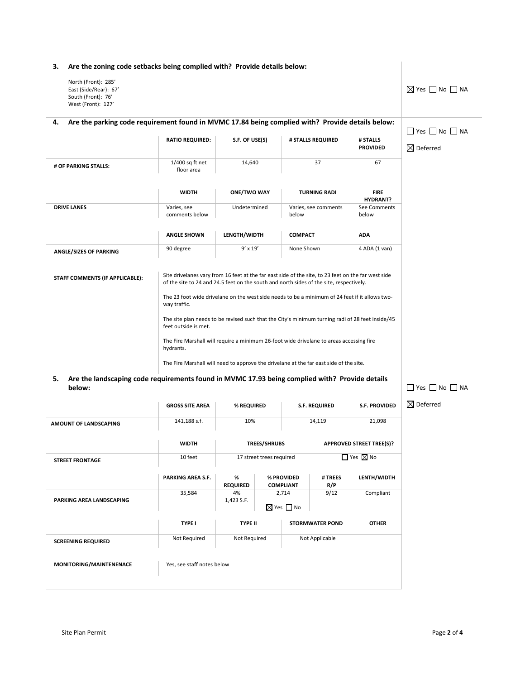#### **3. Are the zoning code setbacks being complied with? Provide details below:**

| Are the zoning code setbacks being complied with? Provide details below:<br>3.                                 |                                 |                    |                                                                                                                                                                                                |                                |                                     |
|----------------------------------------------------------------------------------------------------------------|---------------------------------|--------------------|------------------------------------------------------------------------------------------------------------------------------------------------------------------------------------------------|--------------------------------|-------------------------------------|
| North (Front): 285'<br>East (Side/Rear): 67'<br>South (Front): 76'<br>West (Front): 127'                       |                                 |                    |                                                                                                                                                                                                |                                | $\boxtimes$ Yes $\Box$ No $\Box$ NA |
| Are the parking code requirement found in MVMC 17.84 being complied with? Provide details below:<br>4.         |                                 |                    |                                                                                                                                                                                                |                                | $\Box$ Yes $\Box$ No $\Box$ NA      |
|                                                                                                                | <b>RATIO REQUIRED:</b>          | S.F. OF USE(S)     | # STALLS REQUIRED                                                                                                                                                                              | # STALLS<br><b>PROVIDED</b>    | $\boxtimes$ Deferred                |
| # OF PARKING STALLS:                                                                                           | $1/400$ sq ft net<br>floor area | 14,640             | 37                                                                                                                                                                                             | 67                             |                                     |
|                                                                                                                | <b>WIDTH</b>                    | <b>ONE/TWO WAY</b> | <b>TURNING RADI</b>                                                                                                                                                                            | <b>FIRE</b><br><b>HYDRANT?</b> |                                     |
| <b>DRIVE LANES</b>                                                                                             | Varies, see<br>comments below   | Undetermined       | Varies, see comments<br>below                                                                                                                                                                  | See Comments<br>below          |                                     |
|                                                                                                                | <b>ANGLE SHOWN</b>              | LENGTH/WIDTH       | <b>COMPACT</b>                                                                                                                                                                                 | <b>ADA</b>                     |                                     |
| <b>ANGLE/SIZES OF PARKING</b>                                                                                  | 90 degree                       | $9'$ x $19'$       | None Shown                                                                                                                                                                                     | 4 ADA (1 van)                  |                                     |
| STAFF COMMENTS (IF APPLICABLE):                                                                                |                                 |                    | Site drivelanes vary from 16 feet at the far east side of the site, to 23 feet on the far west side<br>of the site to 24 and 24.5 feet on the south and north sides of the site, respectively. |                                |                                     |
|                                                                                                                | way traffic.                    |                    | The 23 foot wide drivelane on the west side needs to be a minimum of 24 feet if it allows two-                                                                                                 |                                |                                     |
|                                                                                                                | feet outside is met.            |                    | The site plan needs to be revised such that the City's minimum turning radi of 28 feet inside/45                                                                                               |                                |                                     |
|                                                                                                                | hydrants.                       |                    | The Fire Marshall will require a minimum 26-foot wide drivelane to areas accessing fire                                                                                                        |                                |                                     |
|                                                                                                                |                                 |                    | The Fire Marshall will need to approve the drivelane at the far east side of the site.                                                                                                         |                                |                                     |
| Are the landscaping code requirements found in MVMC 17.93 being complied with? Provide details<br>5.<br>below: |                                 |                    | $\Box$ Yes $\Box$ No $\Box$ NA                                                                                                                                                                 |                                |                                     |
|                                                                                                                | <b>GROSS SITE AREA</b>          | % REQUIRED         | <b>S.F. REQUIRED</b>                                                                                                                                                                           | <b>S.F. PROVIDED</b>           | $\boxtimes$ Deferred                |
|                                                                                                                | $111100 - 1$                    | 1001               | 44440                                                                                                                                                                                          | 31.000                         |                                     |

| <b>AMOUNT OF LANDSCAPING</b> | 141,188 s.f.               | 10%                  |                          |                                    | 14,119                 | 21,098                          |
|------------------------------|----------------------------|----------------------|--------------------------|------------------------------------|------------------------|---------------------------------|
|                              | <b>WIDTH</b>               |                      | <b>TREES/SHRUBS</b>      |                                    |                        | <b>APPROVED STREET TREE(S)?</b> |
| <b>STREET FRONTAGE</b>       | 10 feet                    |                      | 17 street trees required |                                    |                        | $\Box$ Yes $\boxtimes$ No       |
|                              | <b>PARKING AREA S.F.</b>   | %<br><b>REQUIRED</b> |                          | % PROVIDED<br><b>COMPLIANT</b>     | # TREES<br>R/P         | LENTH/WIDTH                     |
| PARKING AREA LANDSCAPING     | 35,584                     | 4%<br>1,423 S.F.     |                          | 2,714<br>$\boxtimes$ Yes $\Box$ No | 9/12                   | Compliant                       |
|                              | <b>TYPE I</b>              | <b>TYPE II</b>       |                          |                                    | <b>STORMWATER POND</b> | <b>OTHER</b>                    |
| <b>SCREENING REQUIRED</b>    | Not Required               | Not Required         |                          |                                    | Not Applicable         |                                 |
| MONITORING/MAINTENENACE      | Yes, see staff notes below |                      |                          |                                    |                        |                                 |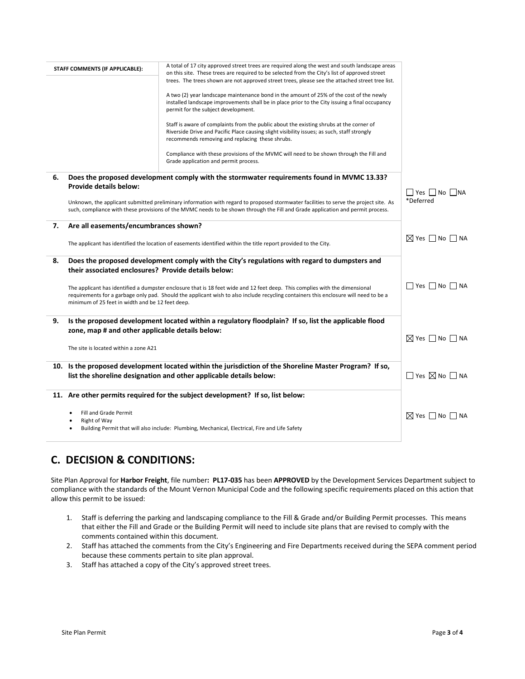|    |                                                     | A total of 17 city approved street trees are required along the west and south landscape areas                                        |                                     |
|----|-----------------------------------------------------|---------------------------------------------------------------------------------------------------------------------------------------|-------------------------------------|
|    | STAFF COMMENTS (IF APPLICABLE):                     | on this site. These trees are required to be selected from the City's list of approved street                                         |                                     |
|    |                                                     | trees. The trees shown are not approved street trees, please see the attached street tree list.                                       |                                     |
|    |                                                     |                                                                                                                                       |                                     |
|    |                                                     | A two (2) year landscape maintenance bond in the amount of 25% of the cost of the newly                                               |                                     |
|    |                                                     | installed landscape improvements shall be in place prior to the City issuing a final occupancy<br>permit for the subject development. |                                     |
|    |                                                     |                                                                                                                                       |                                     |
|    |                                                     | Staff is aware of complaints from the public about the existing shrubs at the corner of                                               |                                     |
|    |                                                     | Riverside Drive and Pacific Place causing slight visibility issues; as such, staff strongly                                           |                                     |
|    |                                                     | recommends removing and replacing these shrubs.                                                                                       |                                     |
|    |                                                     | Compliance with these provisions of the MVMC will need to be shown through the Fill and                                               |                                     |
|    |                                                     | Grade application and permit process.                                                                                                 |                                     |
|    |                                                     |                                                                                                                                       |                                     |
| 6. |                                                     | Does the proposed development comply with the stormwater requirements found in MVMC 13.33?                                            |                                     |
|    | <b>Provide details below:</b>                       |                                                                                                                                       |                                     |
|    |                                                     |                                                                                                                                       | $\Box$ Yes $\Box$ No $\Box$ NA      |
|    |                                                     | Unknown, the applicant submitted preliminary information with regard to proposed stormwater facilities to serve the project site. As  | *Deferred                           |
|    |                                                     | such, compliance with these provisions of the MVMC needs to be shown through the Fill and Grade application and permit process.       |                                     |
| 7. | Are all easements/encumbrances shown?               |                                                                                                                                       |                                     |
|    |                                                     |                                                                                                                                       |                                     |
|    |                                                     |                                                                                                                                       | $\boxtimes$ Yes $\Box$ No $\Box$ NA |
|    |                                                     | The applicant has identified the location of easements identified within the title report provided to the City.                       |                                     |
| 8. |                                                     | Does the proposed development comply with the City's regulations with regard to dumpsters and                                         |                                     |
|    | their associated enclosures? Provide details below: |                                                                                                                                       |                                     |
|    |                                                     |                                                                                                                                       |                                     |
|    |                                                     | The applicant has identified a dumpster enclosure that is 18 feet wide and 12 feet deep. This complies with the dimensional           | $\Box$ Yes $\Box$ No $\Box$ NA      |
|    |                                                     | requirements for a garbage only pad. Should the applicant wish to also include recycling containers this enclosure will need to be a  |                                     |
|    | minimum of 25 feet in width and be 12 feet deep.    |                                                                                                                                       |                                     |
|    |                                                     |                                                                                                                                       |                                     |
| 9. |                                                     | Is the proposed development located within a regulatory floodplain? If so, list the applicable flood                                  |                                     |
|    | zone, map # and other applicable details below:     |                                                                                                                                       |                                     |
|    |                                                     |                                                                                                                                       | $\boxtimes$ Yes $\Box$ No $\Box$ NA |
|    | The site is located within a zone A21               |                                                                                                                                       |                                     |
|    |                                                     |                                                                                                                                       |                                     |
|    |                                                     | 10. Is the proposed development located within the jurisdiction of the Shoreline Master Program? If so,                               |                                     |
|    |                                                     | list the shoreline designation and other applicable details below:                                                                    | $\Box$ Yes $\boxtimes$ No $\Box$ NA |
|    |                                                     |                                                                                                                                       |                                     |
|    |                                                     | 11. Are other permits required for the subject development? If so, list below:                                                        |                                     |
|    |                                                     |                                                                                                                                       |                                     |
|    | Fill and Grade Permit                               |                                                                                                                                       |                                     |
|    | Right of Way                                        |                                                                                                                                       | $\boxtimes$ Yes $\Box$ No $\Box$ NA |
|    |                                                     | Building Permit that will also include: Plumbing, Mechanical, Electrical, Fire and Life Safety                                        |                                     |
|    |                                                     |                                                                                                                                       |                                     |

# **C. DECISION & CONDITIONS:**

Site Plan Approval for **Harbor Freight**, file number**: PL17-035** has been **APPROVED** by the Development Services Department subject to compliance with the standards of the Mount Vernon Municipal Code and the following specific requirements placed on this action that allow this permit to be issued:

- 1. Staff is deferring the parking and landscaping compliance to the Fill & Grade and/or Building Permit processes. This means that either the Fill and Grade or the Building Permit will need to include site plans that are revised to comply with the comments contained within this document.
- 2. Staff has attached the comments from the City's Engineering and Fire Departments received during the SEPA comment period because these comments pertain to site plan approval.
- 3. Staff has attached a copy of the City's approved street trees.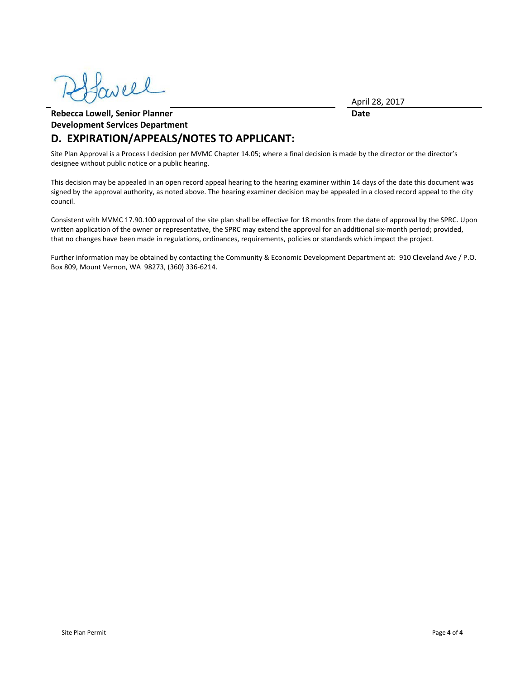weel

April 28, 2017

**Date**

## **Rebecca Lowell, Senior Planner Development Services Department D. EXPIRATION/APPEALS/NOTES TO APPLICANT:**

Site Plan Approval is a Process I decision per MVMC Chapter 14.05; where a final decision is made by the director or the director's designee without public notice or a public hearing.

This decision may be appealed in an open record appeal hearing to the hearing examiner within 14 days of the date this document was signed by the approval authority, as noted above. The hearing examiner decision may be appealed in a closed record appeal to the city council.

Consistent with MVMC 17.90.100 approval of the site plan shall be effective for 18 months from the date of approval by the SPRC. Upon written application of the owner or representative, the SPRC may extend the approval for an additional six-month period; provided, that no changes have been made in regulations, ordinances, requirements, policies or standards which impact the project.

Further information may be obtained by contacting the Community & Economic Development Department at: 910 Cleveland Ave / P.O. Box 809, Mount Vernon, WA 98273, (360) 336-6214.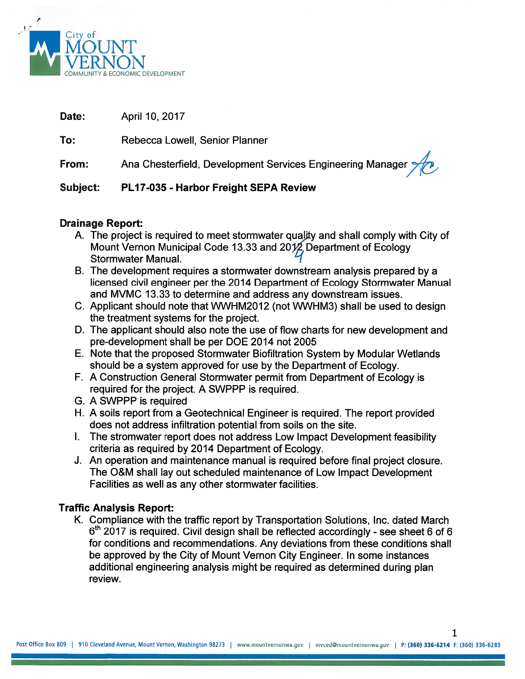

| Date:    | April 10, 2017                                             |
|----------|------------------------------------------------------------|
| To:      | Rebecca Lowell, Senior Planner                             |
| From:    | Ana Chesterfield, Development Services Engineering Manager |
| Subject: | <b>PL17-035 - Harbor Freight SFPA Review</b>               |

# **Drainage Report:**

- A. The project is required to meet stormwater quality and shall comply with City of Mount Vernon Municipal Code 13.33 and 2012 Department of Ecology Stormwater Manual.
- B. The development requires a stormwater downstream analysis prepared by a licensed civil engineer per the 2014 Department of Ecology Stormwater Manual and MVMC 13.33 to determine and address any downstream issues.
- C. Applicant should note that WWHM2012 (not WWHM3) shall be used to design the treatment systems for the project.
- D. The applicant should also note the use of flow charts for new development and pre-development shall be per DOE 2014 not 2005
- E. Note that the proposed Stormwater Biofiltration System by Modular Wetlands should be a system approved for use by the Department of Ecology.
- F. A Construction General Stormwater permit from Department of Ecology is required for the project. A SWPPP is required.
- G. A SWPPP is required
- H. A soils report from a Geotechnical Engineer is required. The report provided does not address infiltration potential from soils on the site.
- I. The stromwater report does not address Low Impact Development feasibility criteria as required by 2014 Department of Ecology.
- J. An operation and maintenance manual is required before final project closure. The O&M shall lay out scheduled maintenance of Low Impact Development Facilities as well as any other stormwater facilities.

# **Traffic Analysis Report:**

K. Compliance with the traffic report by Transportation Solutions, Inc. dated March  $6<sup>th</sup>$  2017 is required. Civil design shall be reflected accordingly - see sheet 6 of 6 for conditions and recommendations. Any deviations from these conditions shall be approved by the City of Mount Vernon City Engineer. In some instances additional engineering analysis might be required as determined during plan review.

 $\mathbf{1}$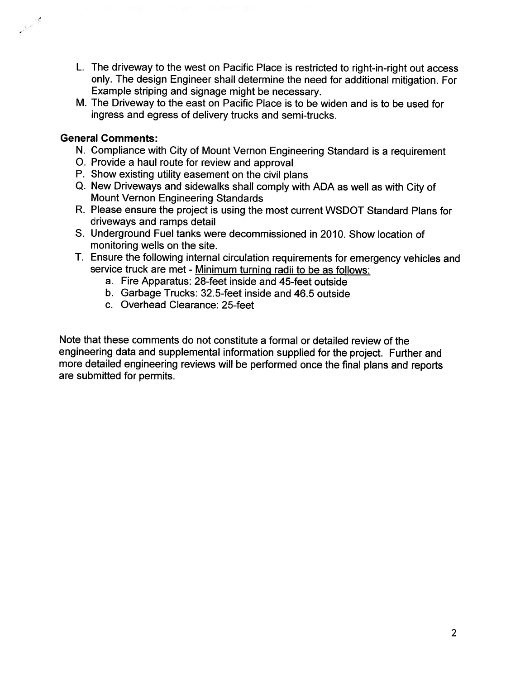- L. The driveway to the west on Pacific Place is restricted to right-in-right out access only. The design Engineer shall determine the need for additional mitigation. For Example striping and signage might be necessary.
- M. The Driveway to the east on Pacific Place is to be widen and is to be used for ingress and egress of delivery trucks and semi-trucks.

# **General Comments:**

 $\frac{1}{2}$ 

- N. Compliance with City of Mount Vernon Engineering Standard is a requirement
- O. Provide a haul route for review and approval
- P. Show existing utility easement on the civil plans
- Q. New Driveways and sidewalks shall comply with ADA as well as with City of **Mount Vernon Engineering Standards**
- R. Please ensure the project is using the most current WSDOT Standard Plans for driveways and ramps detail
- S. Underground Fuel tanks were decommissioned in 2010. Show location of monitoring wells on the site.
- T. Ensure the following internal circulation requirements for emergency vehicles and service truck are met - Minimum turning radii to be as follows:
	- a. Fire Apparatus: 28-feet inside and 45-feet outside
	- b. Garbage Trucks: 32.5-feet inside and 46.5 outside
	- c. Overhead Clearance: 25-feet

Note that these comments do not constitute a formal or detailed review of the engineering data and supplemental information supplied for the project. Further and more detailed engineering reviews will be performed once the final plans and reports are submitted for permits.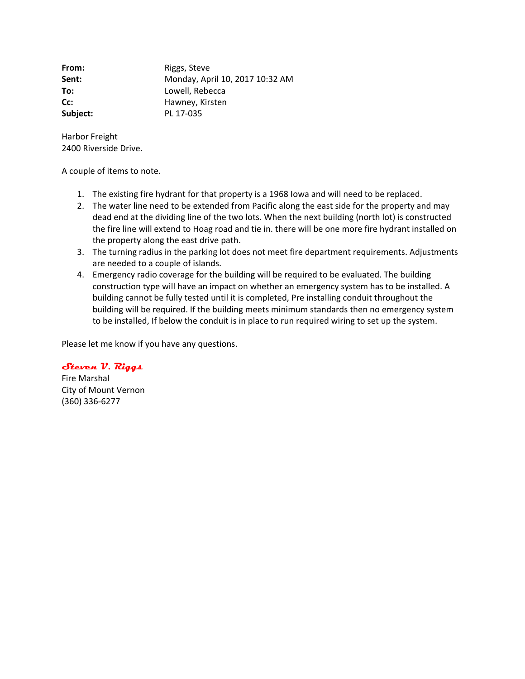**From:** Riggs, Steve **Sent:** Monday, April 10, 2017 10:32 AM **To:** Lowell, Rebecca **Cc:** Hawney, Kirsten **Subject:** PL 17-035

Harbor Freight 2400 Riverside Drive.

A couple of items to note.

- 1. The existing fire hydrant for that property is a 1968 Iowa and will need to be replaced.
- 2. The water line need to be extended from Pacific along the east side for the property and may dead end at the dividing line of the two lots. When the next building (north lot) is constructed the fire line will extend to Hoag road and tie in. there will be one more fire hydrant installed on the property along the east drive path.
- 3. The turning radius in the parking lot does not meet fire department requirements. Adjustments are needed to a couple of islands.
- 4. Emergency radio coverage for the building will be required to be evaluated. The building construction type will have an impact on whether an emergency system has to be installed. A building cannot be fully tested until it is completed, Pre installing conduit throughout the building will be required. If the building meets minimum standards then no emergency system to be installed, If below the conduit is in place to run required wiring to set up the system.

Please let me know if you have any questions.

**Steven V. Riggs** 

Fire Marshal City of Mount Vernon (360) 336-6277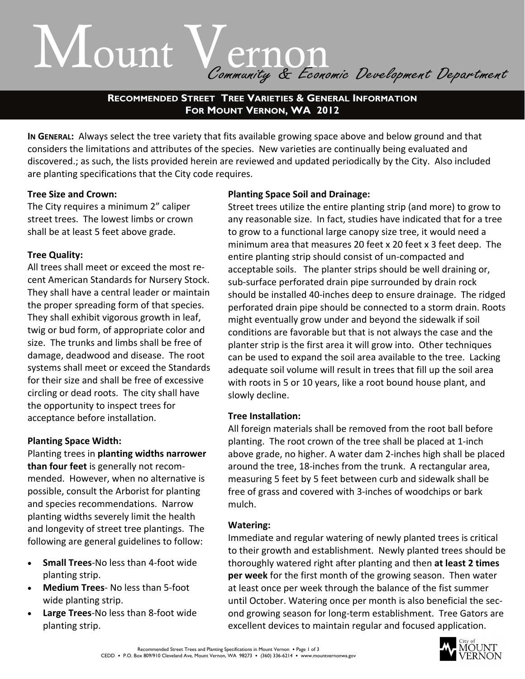# Mount Vernon<br>Community & Economic Development Department

**RECOMMENDED STREET TREE VARIETIES & GENERAL INFORMATION FOR MOUNT VERNON, WA 2012** 

IN GENERAL: Always select the tree variety that fits available growing space above and below ground and that considers the limitations and attributes of the species. New varieties are continually being evaluated and discovered.; as such, the lists provided herein are reviewed and updated periodically by the City. Also included are planting specifications that the City code requires.

## **Tree Size and Crown:**

The City requires a minimum 2" caliper street trees. The lowest limbs or crown shall be at least 5 feet above grade.

# **Tree Quality:**

All trees shall meet or exceed the most re‐ cent American Standards for Nursery Stock. They shall have a central leader or maintain the proper spreading form of that species. They shall exhibit vigorous growth in leaf, twig or bud form, of appropriate color and size. The trunks and limbs shall be free of damage, deadwood and disease. The root systems shall meet or exceed the Standards for their size and shall be free of excessive circling or dead roots. The city shall have the opportunity to inspect trees for acceptance before installation.

# **Planting Space Width:**

Planting trees in **planting widths narrower than four feet** is generally not recom‐ mended. However, when no alternative is possible, consult the Arborist for planting and species recommendations. Narrow planting widths severely limit the health and longevity of street tree plantings. The following are general guidelines to follow:

- **Small Trees**‐No less than 4‐foot wide planting strip.
- **Medium Trees**‐ No less than 5‐foot wide planting strip.
- **Large Trees**‐No less than 8‐foot wide planting strip.

## **Planting Space Soil and Drainage:**

Street trees utilize the entire planting strip (and more) to grow to any reasonable size. In fact, studies have indicated that for a tree to grow to a functional large canopy size tree, it would need a minimum area that measures 20 feet x 20 feet x 3 feet deep. The entire planting strip should consist of un‐compacted and acceptable soils. The planter strips should be well draining or, sub‐surface perforated drain pipe surrounded by drain rock should be installed 40‐inches deep to ensure drainage. The ridged perforated drain pipe should be connected to a storm drain. Roots might eventually grow under and beyond the sidewalk if soil conditions are favorable but that is not always the case and the planter strip is the first area it will grow into. Other techniques can be used to expand the soil area available to the tree. Lacking adequate soil volume will result in trees that fill up the soil area with roots in 5 or 10 years, like a root bound house plant, and slowly decline.

## **Tree Installation:**

All foreign materials shall be removed from the root ball before planting. The root crown of the tree shall be placed at 1‐inch above grade, no higher. A water dam 2‐inches high shall be placed around the tree, 18‐inches from the trunk. A rectangular area, measuring 5 feet by 5 feet between curb and sidewalk shall be free of grass and covered with 3‐inches of woodchips or bark mulch.

## **Watering:**

Immediate and regular watering of newly planted trees is critical to their growth and establishment. Newly planted trees should be thoroughly watered right after planting and then **at least 2 times per week** for the first month of the growing season. Then water at least once per week through the balance of the fist summer until October. Watering once per month is also beneficial the sec‐ ond growing season for long‐term establishment. Tree Gators are excellent devices to maintain regular and focused application.

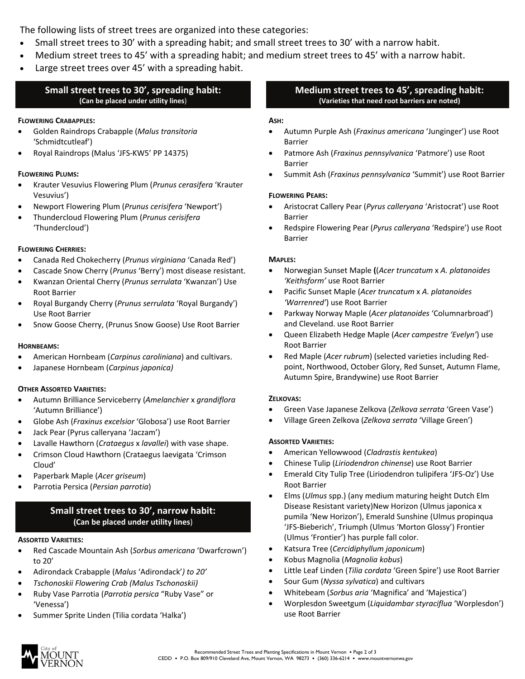The following lists of street trees are organized into these categories:

- Small street trees to 30' with a spreading habit; and small street trees to 30' with a narrow habit.
- Medium street trees to 45' with a spreading habit; and medium street trees to 45' with a narrow habit.
- Large street trees over 45' with a spreading habit.

## **Small street trees to 30', spreading habit: (Can be placed under utility lines**)

## **FLOWERING CRABAPPLES:**

- Golden Raindrops Crabapple (*Malus transitoria* 'Schmidtcutleaf')
- Royal Raindrops (Malus 'JFS‐KW5' PP 14375)

## **FLOWERING PLUMS:**

- Krauter Vesuvius Flowering Plum (*Prunus cerasifera* 'Krauter Vesuvius')
- Newport Flowering Plum (*Prunus cerisifera* 'Newport')
- Thundercloud Flowering Plum (*Prunus cerisifera* 'Thundercloud')

## **FLOWERING CHERRIES:**

- Canada Red Chokecherry (*Prunus virginiana* 'Canada Red')
- Cascade Snow Cherry (*Prunus* 'Berry') most disease resistant.
- Kwanzan Oriental Cherry (*Prunus serrulata* 'Kwanzan') Use Root Barrier
- Royal Burgandy Cherry (*Prunus serrulata* 'Royal Burgandy') Use Root Barrier
- Snow Goose Cherry, (Prunus Snow Goose) Use Root Barrier

#### **HORNBEAMS:**

- American Hornbeam (*Carpinus caroliniana*) and cultivars.
- Japanese Hornbeam (*Carpinus japonica)*

#### **OTHER ASSORTED VARIETIES:**

- Autumn Brilliance Serviceberry (*Amelanchier* x *grandiflora* 'Autumn Brilliance')
- Globe Ash (*Fraxinus excelsior* 'Globosa') use Root Barrier
- Jack Pear (Pyrus calleryana 'Jaczam')
- Lavalle Hawthorn (*Crataegus* x *lavallei*) with vase shape.
- Crimson Cloud Hawthorn (Crataegus laevigata 'Crimson Cloud'
- Paperbark Maple (*Acer griseum*)
- Parrotia Persica (*Persian parrotia*)

## **Small street trees to 30', narrow habit: (Can be placed under utility lines**)

#### **ASSORTED VARIETIES:**

- Red Cascade Mountain Ash (*Sorbus americana* 'Dwarfcrown') to 20'
- Adirondack Crabapple (*Malus* 'Adirondack'*) to 20'*
- *Tschonoskii Flowering Crab (Malus Tschonoskii)*
- Ruby Vase Parrotia (*Parrotia persica* "Ruby Vase" or 'Venessa')
- Summer Sprite Linden (Tilia cordata 'Halka')

## **Medium street trees to 45', spreading habit: (Varieties that need root barriers are noted)**

#### **ASH:**

- Autumn Purple Ash (*Fraxinus americana* 'Junginger') use Root Barrier
- Patmore Ash (*Fraxinus pennsylvanica* 'Patmore') use Root Barrier
- Summit Ash (*Fraxinus pennsylvanica* 'Summit') use Root Barrier

## **FLOWERING PEARS:**

- Aristocrat Callery Pear (*Pyrus calleryana* 'Aristocrat') use Root Barrier
- Redspire Flowering Pear (*Pyrus calleryana* 'Redspire') use Root Barrier

#### **MAPLES:**

- Norwegian Sunset Maple **(**(*Acer truncatum* x *A. platanoides 'Keithsform'* use Root Barrier
- Pacific Sunset Maple (*Acer truncatum* x *A. platanoides 'Warrenred'*) use Root Barrier
- Parkway Norway Maple (*Acer platanoides* 'Columnarbroad') and Cleveland. use Root Barrier
- Queen Elizabeth Hedge Maple (*Acer campestre 'Evelyn'*) use Root Barrier
- Red Maple (*Acer rubrum*) (selected varieties including Red‐ point, Northwood, October Glory, Red Sunset, Autumn Flame, Autumn Spire, Brandywine) use Root Barrier

#### **ZELKOVAS:**

- Green Vase Japanese Zelkova (*Zelkova serrata* 'Green Vase')
- Village Green Zelkova (*Zelkova serrata* 'Village Green')

## **ASSORTED VARIETIES:**

- American Yellowwood (*Cladrastis kentukea*)
- Chinese Tulip (*Liriodendron chinense*) use Root Barrier
- Emerald City Tulip Tree (Liriodendron tulipifera 'JFS‐Oz') Use Root Barrier
- Elms (*Ulmus* spp.) (any medium maturing height Dutch Elm Disease Resistant variety)New Horizon (Ulmus japonica x pumila 'New Horizon'), Emerald Sunshine (Ulmus propinqua 'JFS‐Bieberich', Triumph (Ulmus 'Morton Glossy') Frontier (Ulmus 'Frontier') has purple fall color.
- Katsura Tree (*Cercidiphyllum japonicum*)
- Kobus Magnolia (*Magnolia kobus*)
- Little Leaf Linden (*Tilia cordata* 'Green Spire') use Root Barrier
- Sour Gum (*Nyssa sylvatica*) and cultivars
- Whitebeam (*Sorbus aria* 'Magnifica' and 'Majestica')
- Worplesdon Sweetgum (*Liquidambar styraciflua* 'Worplesdon') use Root Barrier